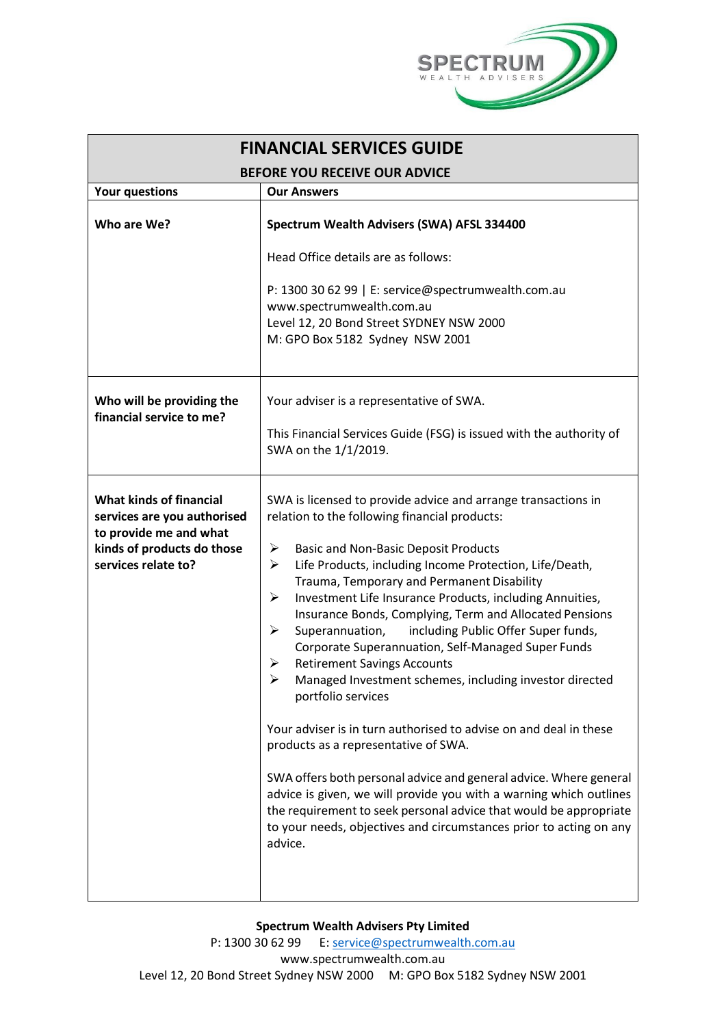

| <b>FINANCIAL SERVICES GUIDE</b>                                                                                                              |                                                                                                                                                                                                                                                                                                                                                                                                                                                                                                                                                                                                                                                                                                                                                                                                                                                                                                                                                                                                                                                                             |  |
|----------------------------------------------------------------------------------------------------------------------------------------------|-----------------------------------------------------------------------------------------------------------------------------------------------------------------------------------------------------------------------------------------------------------------------------------------------------------------------------------------------------------------------------------------------------------------------------------------------------------------------------------------------------------------------------------------------------------------------------------------------------------------------------------------------------------------------------------------------------------------------------------------------------------------------------------------------------------------------------------------------------------------------------------------------------------------------------------------------------------------------------------------------------------------------------------------------------------------------------|--|
| <b>BEFORE YOU RECEIVE OUR ADVICE</b>                                                                                                         |                                                                                                                                                                                                                                                                                                                                                                                                                                                                                                                                                                                                                                                                                                                                                                                                                                                                                                                                                                                                                                                                             |  |
| <b>Your questions</b>                                                                                                                        | <b>Our Answers</b>                                                                                                                                                                                                                                                                                                                                                                                                                                                                                                                                                                                                                                                                                                                                                                                                                                                                                                                                                                                                                                                          |  |
| Who are We?                                                                                                                                  | Spectrum Wealth Advisers (SWA) AFSL 334400<br>Head Office details are as follows:<br>P: 1300 30 62 99   E: service@spectrumwealth.com.au                                                                                                                                                                                                                                                                                                                                                                                                                                                                                                                                                                                                                                                                                                                                                                                                                                                                                                                                    |  |
|                                                                                                                                              | www.spectrumwealth.com.au<br>Level 12, 20 Bond Street SYDNEY NSW 2000<br>M: GPO Box 5182 Sydney NSW 2001                                                                                                                                                                                                                                                                                                                                                                                                                                                                                                                                                                                                                                                                                                                                                                                                                                                                                                                                                                    |  |
| Who will be providing the<br>financial service to me?                                                                                        | Your adviser is a representative of SWA.<br>This Financial Services Guide (FSG) is issued with the authority of<br>SWA on the 1/1/2019.                                                                                                                                                                                                                                                                                                                                                                                                                                                                                                                                                                                                                                                                                                                                                                                                                                                                                                                                     |  |
| <b>What kinds of financial</b><br>services are you authorised<br>to provide me and what<br>kinds of products do those<br>services relate to? | SWA is licensed to provide advice and arrange transactions in<br>relation to the following financial products:<br><b>Basic and Non-Basic Deposit Products</b><br>➤<br>Life Products, including Income Protection, Life/Death,<br>≻<br>Trauma, Temporary and Permanent Disability<br>Investment Life Insurance Products, including Annuities,<br>➤<br>Insurance Bonds, Complying, Term and Allocated Pensions<br>including Public Offer Super funds,<br>Superannuation,<br>➤<br>Corporate Superannuation, Self-Managed Super Funds<br><b>Retirement Savings Accounts</b><br>➤<br>Managed Investment schemes, including investor directed<br>portfolio services<br>Your adviser is in turn authorised to advise on and deal in these<br>products as a representative of SWA.<br>SWA offers both personal advice and general advice. Where general<br>advice is given, we will provide you with a warning which outlines<br>the requirement to seek personal advice that would be appropriate<br>to your needs, objectives and circumstances prior to acting on any<br>advice. |  |

# **Spectrum Wealth Advisers Pty Limited**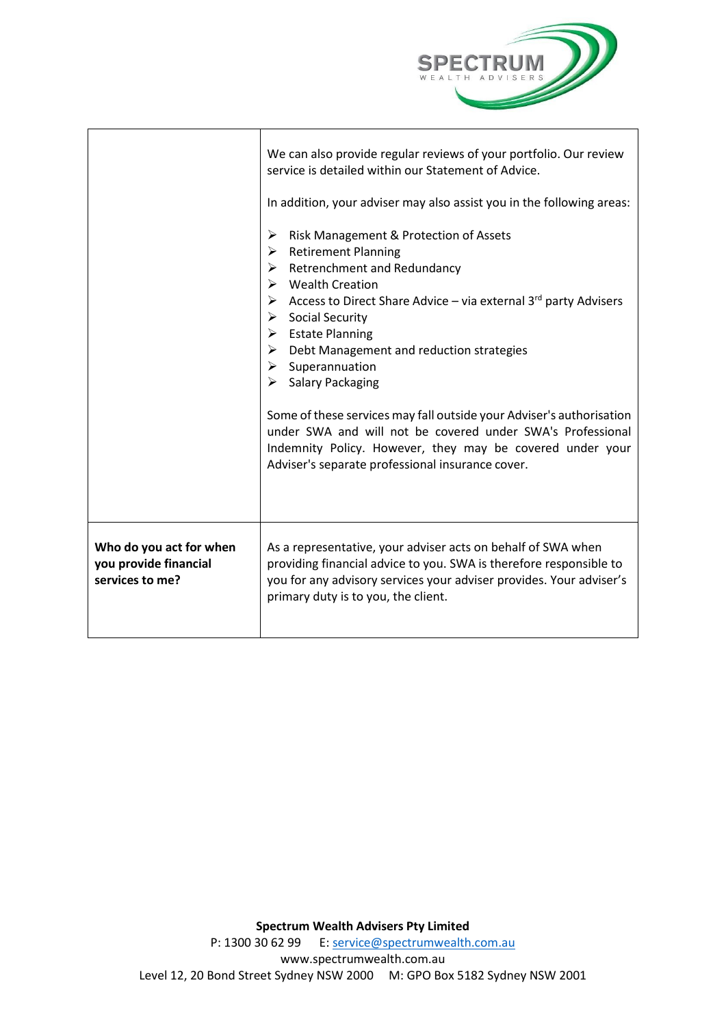

|                                                                     | We can also provide regular reviews of your portfolio. Our review<br>service is detailed within our Statement of Advice.<br>In addition, your adviser may also assist you in the following areas:<br>Risk Management & Protection of Assets<br>➤<br><b>Retirement Planning</b><br>≻<br>$\triangleright$ Retrenchment and Redundancy<br>$\triangleright$ Wealth Creation<br>Access to Direct Share Advice – via external $3^{rd}$ party Advisers<br>$\triangleright$ Social Security<br>$\triangleright$ Estate Planning<br>$\triangleright$ Debt Management and reduction strategies<br>$\triangleright$ Superannuation<br><b>Salary Packaging</b><br>≻<br>Some of these services may fall outside your Adviser's authorisation<br>under SWA and will not be covered under SWA's Professional<br>Indemnity Policy. However, they may be covered under your<br>Adviser's separate professional insurance cover. |
|---------------------------------------------------------------------|----------------------------------------------------------------------------------------------------------------------------------------------------------------------------------------------------------------------------------------------------------------------------------------------------------------------------------------------------------------------------------------------------------------------------------------------------------------------------------------------------------------------------------------------------------------------------------------------------------------------------------------------------------------------------------------------------------------------------------------------------------------------------------------------------------------------------------------------------------------------------------------------------------------|
| Who do you act for when<br>you provide financial<br>services to me? | As a representative, your adviser acts on behalf of SWA when<br>providing financial advice to you. SWA is therefore responsible to<br>you for any advisory services your adviser provides. Your adviser's<br>primary duty is to you, the client.                                                                                                                                                                                                                                                                                                                                                                                                                                                                                                                                                                                                                                                               |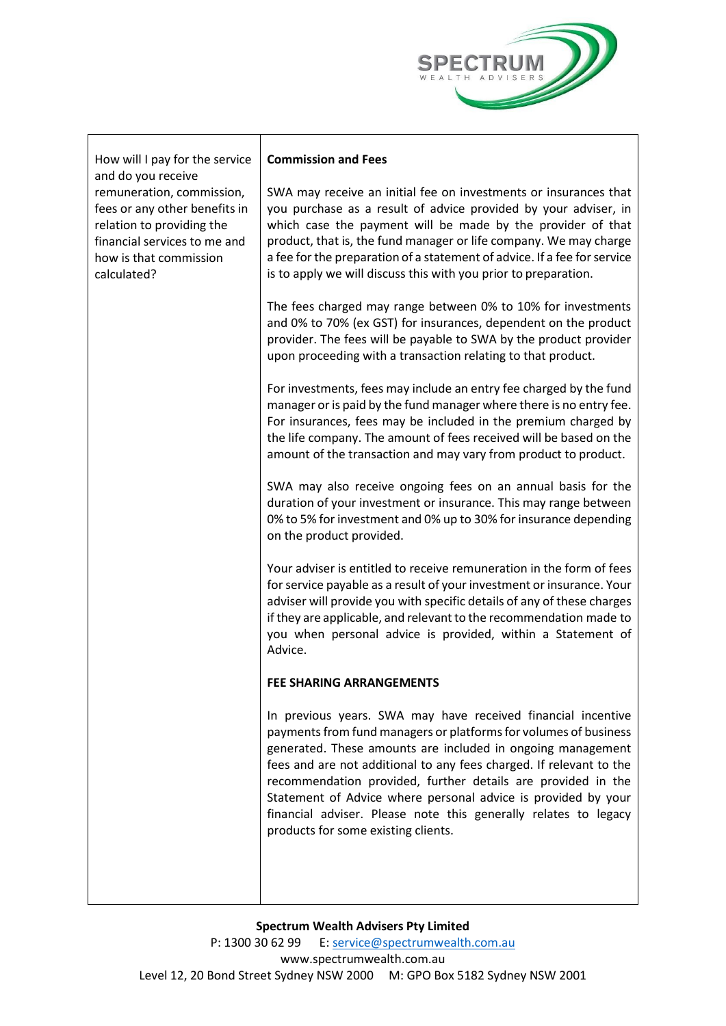

| How will I pay for the service                                                                                                                                                         | <b>Commission and Fees</b>                                                                                                                                                                                                                                                                                                                                                                                                                                                                                        |
|----------------------------------------------------------------------------------------------------------------------------------------------------------------------------------------|-------------------------------------------------------------------------------------------------------------------------------------------------------------------------------------------------------------------------------------------------------------------------------------------------------------------------------------------------------------------------------------------------------------------------------------------------------------------------------------------------------------------|
| and do you receive<br>remuneration, commission,<br>fees or any other benefits in<br>relation to providing the<br>financial services to me and<br>how is that commission<br>calculated? | SWA may receive an initial fee on investments or insurances that<br>you purchase as a result of advice provided by your adviser, in<br>which case the payment will be made by the provider of that<br>product, that is, the fund manager or life company. We may charge<br>a fee for the preparation of a statement of advice. If a fee for service<br>is to apply we will discuss this with you prior to preparation.                                                                                            |
|                                                                                                                                                                                        | The fees charged may range between 0% to 10% for investments<br>and 0% to 70% (ex GST) for insurances, dependent on the product<br>provider. The fees will be payable to SWA by the product provider<br>upon proceeding with a transaction relating to that product.                                                                                                                                                                                                                                              |
|                                                                                                                                                                                        | For investments, fees may include an entry fee charged by the fund<br>manager or is paid by the fund manager where there is no entry fee.<br>For insurances, fees may be included in the premium charged by<br>the life company. The amount of fees received will be based on the<br>amount of the transaction and may vary from product to product.                                                                                                                                                              |
|                                                                                                                                                                                        | SWA may also receive ongoing fees on an annual basis for the<br>duration of your investment or insurance. This may range between<br>0% to 5% for investment and 0% up to 30% for insurance depending<br>on the product provided.                                                                                                                                                                                                                                                                                  |
|                                                                                                                                                                                        | Your adviser is entitled to receive remuneration in the form of fees<br>for service payable as a result of your investment or insurance. Your<br>adviser will provide you with specific details of any of these charges<br>if they are applicable, and relevant to the recommendation made to<br>you when personal advice is provided, within a Statement of<br>Advice.                                                                                                                                           |
|                                                                                                                                                                                        | FEE SHARING ARRANGEMENTS                                                                                                                                                                                                                                                                                                                                                                                                                                                                                          |
|                                                                                                                                                                                        | In previous years. SWA may have received financial incentive<br>payments from fund managers or platforms for volumes of business<br>generated. These amounts are included in ongoing management<br>fees and are not additional to any fees charged. If relevant to the<br>recommendation provided, further details are provided in the<br>Statement of Advice where personal advice is provided by your<br>financial adviser. Please note this generally relates to legacy<br>products for some existing clients. |
|                                                                                                                                                                                        |                                                                                                                                                                                                                                                                                                                                                                                                                                                                                                                   |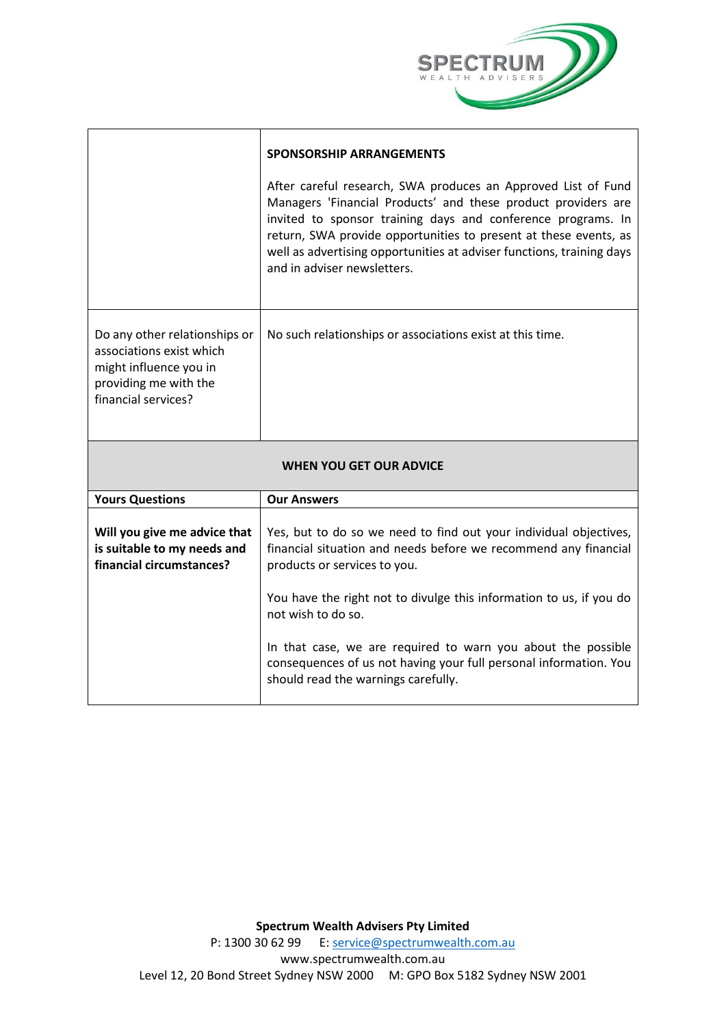

|                                                                                                                                     | <b>SPONSORSHIP ARRANGEMENTS</b>                                                                                                                                                                                                                                                                                                                                            |  |
|-------------------------------------------------------------------------------------------------------------------------------------|----------------------------------------------------------------------------------------------------------------------------------------------------------------------------------------------------------------------------------------------------------------------------------------------------------------------------------------------------------------------------|--|
|                                                                                                                                     | After careful research, SWA produces an Approved List of Fund<br>Managers 'Financial Products' and these product providers are<br>invited to sponsor training days and conference programs. In<br>return, SWA provide opportunities to present at these events, as<br>well as advertising opportunities at adviser functions, training days<br>and in adviser newsletters. |  |
| Do any other relationships or<br>associations exist which<br>might influence you in<br>providing me with the<br>financial services? | No such relationships or associations exist at this time.                                                                                                                                                                                                                                                                                                                  |  |
| <b>WHEN YOU GET OUR ADVICE</b>                                                                                                      |                                                                                                                                                                                                                                                                                                                                                                            |  |
| <b>Yours Questions</b>                                                                                                              | <b>Our Answers</b>                                                                                                                                                                                                                                                                                                                                                         |  |
| Will you give me advice that<br>is suitable to my needs and<br>financial circumstances?                                             | Yes, but to do so we need to find out your individual objectives,<br>financial situation and needs before we recommend any financial<br>products or services to you.                                                                                                                                                                                                       |  |
|                                                                                                                                     | You have the right not to divulge this information to us, if you do<br>not wish to do so.                                                                                                                                                                                                                                                                                  |  |
|                                                                                                                                     | In that case, we are required to warn you about the possible<br>consequences of us not having your full personal information. You<br>should read the warnings carefully.                                                                                                                                                                                                   |  |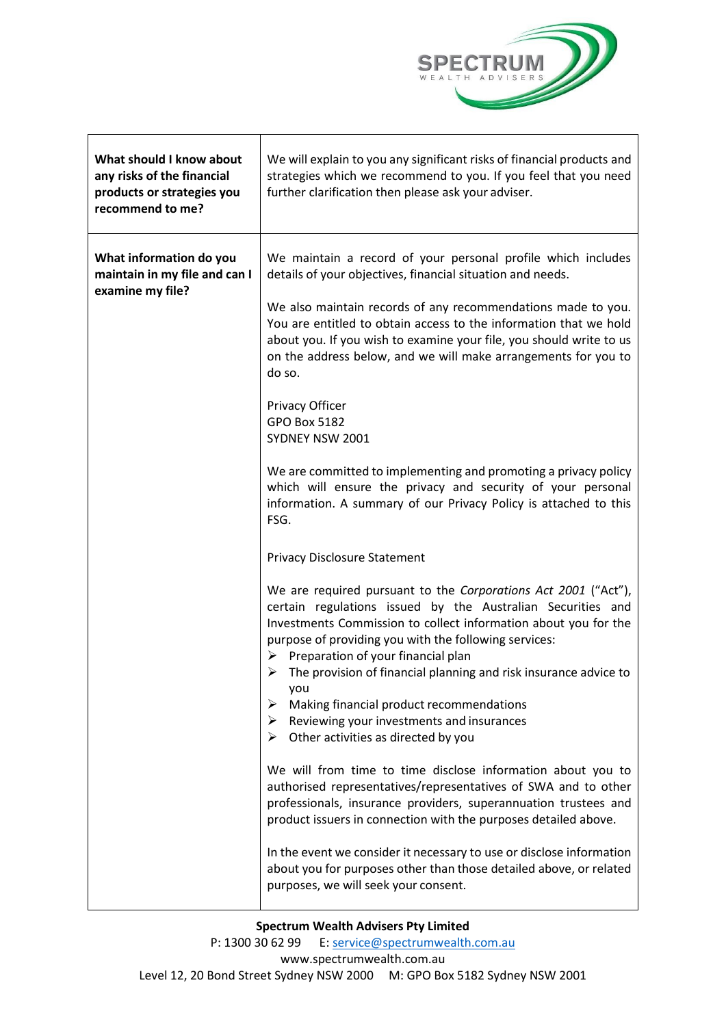

| What should I know about<br>any risks of the financial<br>products or strategies you<br>recommend to me? | We will explain to you any significant risks of financial products and<br>strategies which we recommend to you. If you feel that you need<br>further clarification then please ask your adviser.                                                                                                                                                                                                                                                                                                                                                                                                                                                                                                                                                                                                                                                                                                                                                                                                                                                    |
|----------------------------------------------------------------------------------------------------------|-----------------------------------------------------------------------------------------------------------------------------------------------------------------------------------------------------------------------------------------------------------------------------------------------------------------------------------------------------------------------------------------------------------------------------------------------------------------------------------------------------------------------------------------------------------------------------------------------------------------------------------------------------------------------------------------------------------------------------------------------------------------------------------------------------------------------------------------------------------------------------------------------------------------------------------------------------------------------------------------------------------------------------------------------------|
| What information do you<br>maintain in my file and can I<br>examine my file?                             | We maintain a record of your personal profile which includes<br>details of your objectives, financial situation and needs.<br>We also maintain records of any recommendations made to you.<br>You are entitled to obtain access to the information that we hold<br>about you. If you wish to examine your file, you should write to us<br>on the address below, and we will make arrangements for you to<br>do so.<br>Privacy Officer<br><b>GPO Box 5182</b><br>SYDNEY NSW 2001<br>We are committed to implementing and promoting a privacy policy<br>which will ensure the privacy and security of your personal<br>information. A summary of our Privacy Policy is attached to this<br>FSG.                                                                                                                                                                                                                                                                                                                                                       |
|                                                                                                          | <b>Privacy Disclosure Statement</b><br>We are required pursuant to the Corporations Act 2001 ("Act"),<br>certain regulations issued by the Australian Securities and<br>Investments Commission to collect information about you for the<br>purpose of providing you with the following services:<br>$\triangleright$ Preparation of your financial plan<br>The provision of financial planning and risk insurance advice to<br>➤<br>you<br>➤<br>Making financial product recommendations<br>Reviewing your investments and insurances<br>➤<br>Other activities as directed by you<br>➤<br>We will from time to time disclose information about you to<br>authorised representatives/representatives of SWA and to other<br>professionals, insurance providers, superannuation trustees and<br>product issuers in connection with the purposes detailed above.<br>In the event we consider it necessary to use or disclose information<br>about you for purposes other than those detailed above, or related<br>purposes, we will seek your consent. |

**Spectrum Wealth Advisers Pty Limited**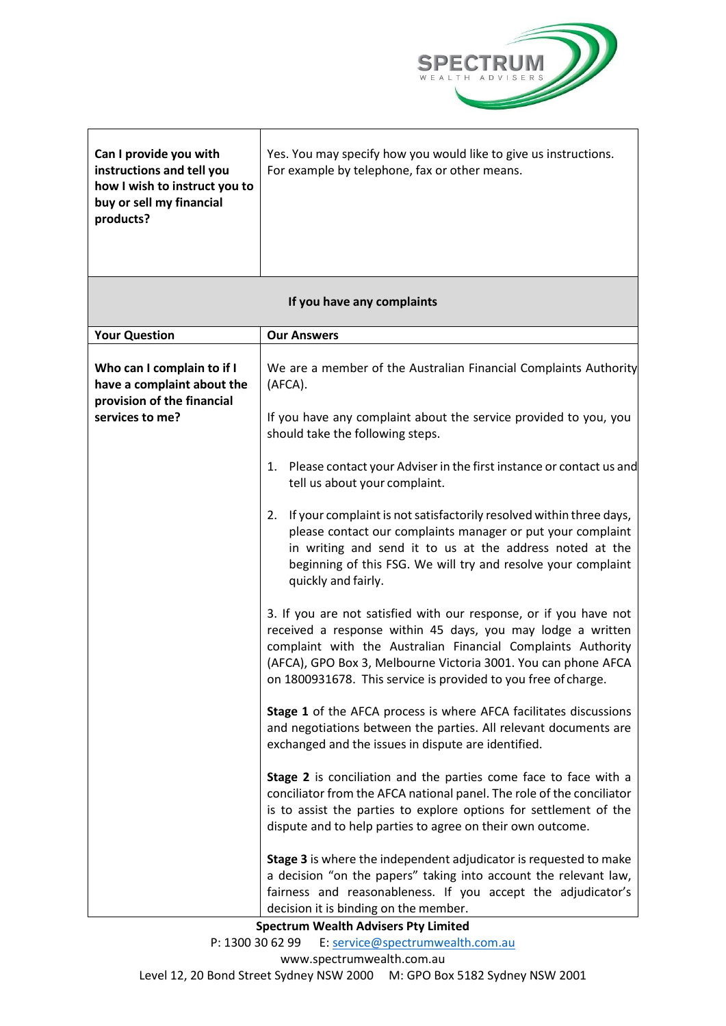

| Can I provide you with<br>instructions and tell you<br>how I wish to instruct you to<br>buy or sell my financial<br>products? | Yes. You may specify how you would like to give us instructions.<br>For example by telephone, fax or other means.                                                                                                                                                                                                                    |  |
|-------------------------------------------------------------------------------------------------------------------------------|--------------------------------------------------------------------------------------------------------------------------------------------------------------------------------------------------------------------------------------------------------------------------------------------------------------------------------------|--|
| If you have any complaints                                                                                                    |                                                                                                                                                                                                                                                                                                                                      |  |
| <b>Your Question</b>                                                                                                          | <b>Our Answers</b>                                                                                                                                                                                                                                                                                                                   |  |
| Who can I complain to if I<br>have a complaint about the<br>provision of the financial<br>services to me?                     | We are a member of the Australian Financial Complaints Authority<br>(AFCA).                                                                                                                                                                                                                                                          |  |
|                                                                                                                               | If you have any complaint about the service provided to you, you<br>should take the following steps.                                                                                                                                                                                                                                 |  |
|                                                                                                                               | 1. Please contact your Adviser in the first instance or contact us and<br>tell us about your complaint.                                                                                                                                                                                                                              |  |
|                                                                                                                               | 2. If your complaint is not satisfactorily resolved within three days,<br>please contact our complaints manager or put your complaint<br>in writing and send it to us at the address noted at the<br>beginning of this FSG. We will try and resolve your complaint<br>quickly and fairly.                                            |  |
|                                                                                                                               | 3. If you are not satisfied with our response, or if you have not<br>received a response within 45 days, you may lodge a written<br>complaint with the Australian Financial Complaints Authority<br>(AFCA), GPO Box 3, Melbourne Victoria 3001. You can phone AFCA<br>on 1800931678. This service is provided to you free of charge. |  |
|                                                                                                                               | Stage 1 of the AFCA process is where AFCA facilitates discussions<br>and negotiations between the parties. All relevant documents are<br>exchanged and the issues in dispute are identified.                                                                                                                                         |  |
|                                                                                                                               | Stage 2 is conciliation and the parties come face to face with a<br>conciliator from the AFCA national panel. The role of the conciliator<br>is to assist the parties to explore options for settlement of the<br>dispute and to help parties to agree on their own outcome.                                                         |  |
|                                                                                                                               | Stage 3 is where the independent adjudicator is requested to make<br>a decision "on the papers" taking into account the relevant law,<br>fairness and reasonableness. If you accept the adjudicator's<br>decision it is binding on the member.                                                                                       |  |

**Spectrum Wealth Advisers Pty Limited**

P: 1300 30 62 99 E: [service@spectrumwealth.com.au](mailto:service@spectrumwealth.com.au)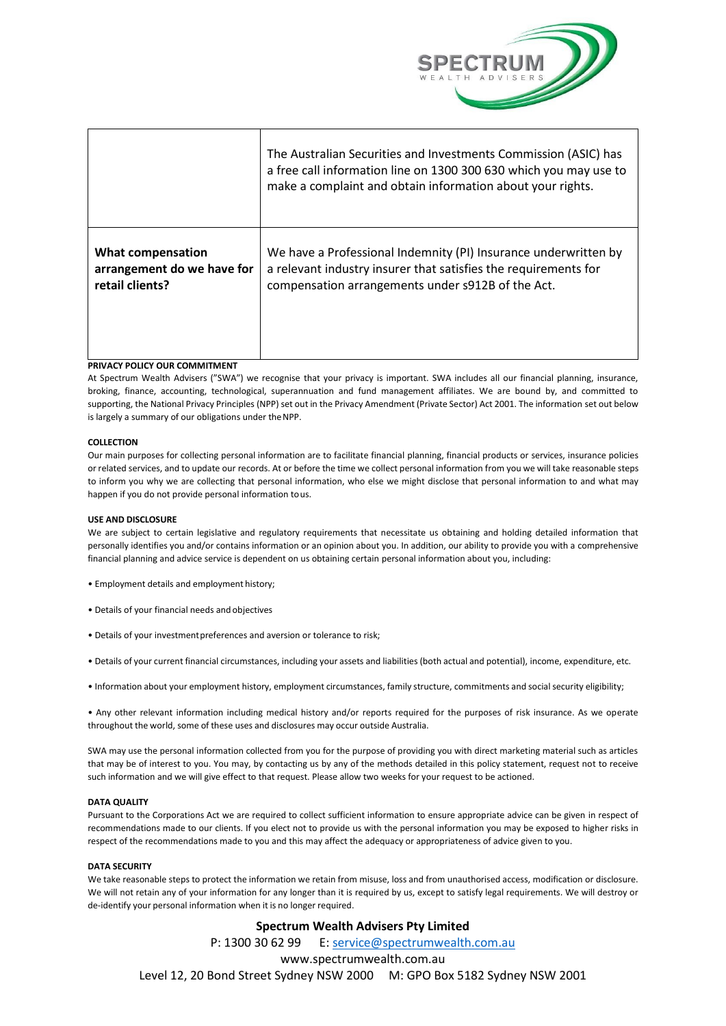

|                                                                           | The Australian Securities and Investments Commission (ASIC) has<br>a free call information line on 1300 300 630 which you may use to<br>make a complaint and obtain information about your rights. |
|---------------------------------------------------------------------------|----------------------------------------------------------------------------------------------------------------------------------------------------------------------------------------------------|
| <b>What compensation</b><br>arrangement do we have for<br>retail clients? | We have a Professional Indemnity (PI) Insurance underwritten by<br>a relevant industry insurer that satisfies the requirements for<br>compensation arrangements under s912B of the Act.            |
| PRIVACY POLICY OUR COMMITMENT                                             |                                                                                                                                                                                                    |

At Spectrum Wealth Advisers ("SWA") we recognise that your privacy is important. SWA includes all our financial planning, insurance, broking, finance, accounting, technological, superannuation and fund management affiliates. We are bound by, and committed to supporting, the National Privacy Principles (NPP) set out in the Privacy Amendment (Private Sector) Act 2001. The information set out below is largely a summary of our obligations under theNPP.

# **COLLECTION**

Our main purposes for collecting personal information are to facilitate financial planning, financial products or services, insurance policies or related services, and to update our records. At or before the time we collect personal information from you we will take reasonable steps to inform you why we are collecting that personal information, who else we might disclose that personal information to and what may happen if you do not provide personal information tous.

# **USE AND DISCLOSURE**

We are subject to certain legislative and regulatory requirements that necessitate us obtaining and holding detailed information that personally identifies you and/or contains information or an opinion about you. In addition, our ability to provide you with a comprehensive financial planning and advice service is dependent on us obtaining certain personal information about you, including:

- Employment details and employment history;
- Details of your financial needs and objectives
- Details of your investmentpreferences and aversion or tolerance to risk;
- Details of your current financial circumstances, including your assets and liabilities (both actual and potential), income, expenditure, etc.
- Information about your employment history, employment circumstances, family structure, commitments and socialsecurity eligibility;

• Any other relevant information including medical history and/or reports required for the purposes of risk insurance. As we operate throughout the world, some of these uses and disclosures may occur outside Australia.

SWA may use the personal information collected from you for the purpose of providing you with direct marketing material such as articles that may be of interest to you. You may, by contacting us by any of the methods detailed in this policy statement, request not to receive such information and we will give effect to that request. Please allow two weeks for your request to be actioned.

#### **DATA QUALITY**

Pursuant to the Corporations Act we are required to collect sufficient information to ensure appropriate advice can be given in respect of recommendations made to our clients. If you elect not to provide us with the personal information you may be exposed to higher risks in respect of the recommendations made to you and this may affect the adequacy or appropriateness of advice given to you.

## **DATA SECURITY**

We take reasonable steps to protect the information we retain from misuse, loss and from unauthorised access, modification or disclosure. We will not retain any of your information for any longer than it is required by us, except to satisfy legal requirements. We will destroy or de-identify your personal information when it is no longer required.

# **Spectrum Wealth Advisers Pty Limited**

P: 1300 30 62 99 E: [service@spectrumwealth.com.au](mailto:service@spectrumwealth.com.au) [www.spectrumwealth.com.au](http://www.spectrumwealth.com.au/) Level 12, 20 Bond Street Sydney NSW 2000 M: GPO Box 5182 Sydney NSW 2001